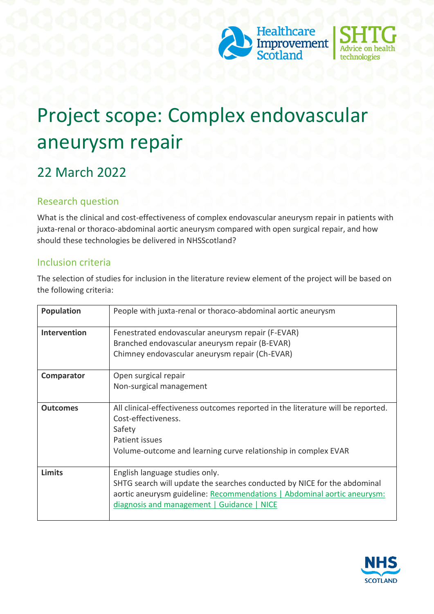



# Project scope: Complex endovascular aneurysm repair

## 22 March 2022

#### Research question

What is the clinical and cost-effectiveness of complex endovascular aneurysm repair in patients with juxta-renal or thoraco-abdominal aortic aneurysm compared with open surgical repair, and how should these technologies be delivered in NHSScotland?

#### Inclusion criteria

The selection of studies for inclusion in the literature review element of the project will be based on the following criteria:

| <b>Population</b> | People with juxta-renal or thoraco-abdominal aortic aneurysm                                                                                                                                                                        |
|-------------------|-------------------------------------------------------------------------------------------------------------------------------------------------------------------------------------------------------------------------------------|
| Intervention      | Fenestrated endovascular aneurysm repair (F-EVAR)<br>Branched endovascular aneurysm repair (B-EVAR)<br>Chimney endovascular aneurysm repair (Ch-EVAR)                                                                               |
| Comparator        | Open surgical repair<br>Non-surgical management                                                                                                                                                                                     |
| <b>Outcomes</b>   | All clinical-effectiveness outcomes reported in the literature will be reported.<br>Cost-effectiveness.<br>Safety<br>Patient issues<br>Volume-outcome and learning curve relationship in complex EVAR                               |
| <b>Limits</b>     | English language studies only.<br>SHTG search will update the searches conducted by NICE for the abdominal<br>aortic aneurysm guideline: Recommendations   Abdominal aortic aneurysm:<br>diagnosis and management   Guidance   NICE |